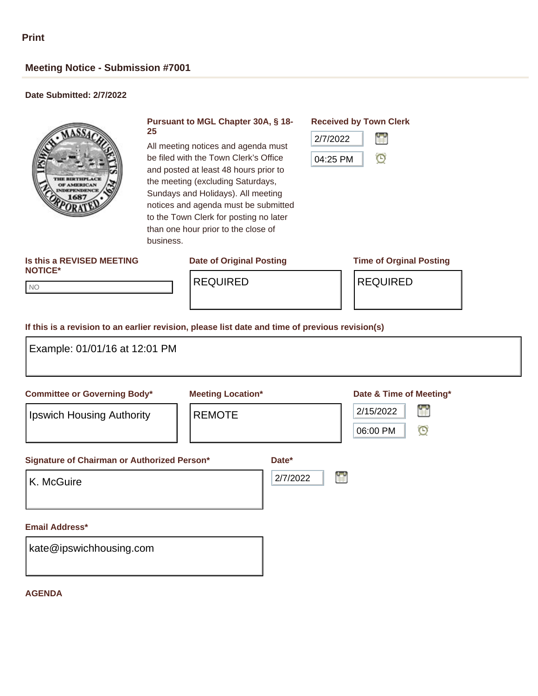# **Meeting Notice - Submission #7001**

## **Date Submitted: 2/7/2022**



#### **Pursuant to MGL Chapter 30A, § 18- 25**

All meeting notices and agenda must be filed with the Town Clerk's Office and posted at least 48 hours prior to the meeting (excluding Saturdays, Sundays and Holidays). All meeting notices and agenda must be submitted to the Town Clerk for posting no later than one hour prior to the close of business.

# **Received by Town Clerk**



#### **Is this a REVISED MEETING NOTICE\***

**Date of Original Posting Time of Orginal Posting**

NO NO

REQUIRED | REQUIRED

### **If this is a revision to an earlier revision, please list date and time of previous revision(s)**

| Example: 01/01/16 at 12:01 PM                                           |                                           |                        |                                                                  |
|-------------------------------------------------------------------------|-------------------------------------------|------------------------|------------------------------------------------------------------|
| <b>Committee or Governing Body*</b><br><b>Ipswich Housing Authority</b> | <b>Meeting Location*</b><br><b>REMOTE</b> |                        | Date & Time of Meeting*<br>鲁<br>2/15/2022<br>$\odot$<br>06:00 PM |
| Signature of Chairman or Authorized Person*<br>K. McGuire               |                                           | Date*<br>H<br>2/7/2022 |                                                                  |
| <b>Email Address*</b><br>kate@ipswichhousing.com                        |                                           |                        |                                                                  |

#### **AGENDA**